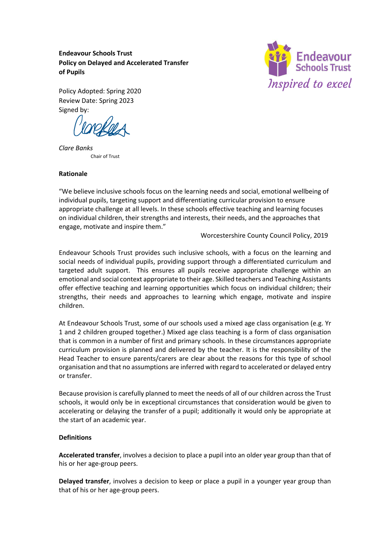**Endeavour Schools Trust Policy on Delayed and Accelerated Transfer of Pupils** 



Policy Adopted: Spring 2020 Review Date: Spring 2023 Signed by:

*Clare Banks*  Chair of Trust

### **Rationale**

"We believe inclusive schools focus on the learning needs and social, emotional wellbeing of individual pupils, targeting support and differentiating curricular provision to ensure appropriate challenge at all levels. In these schools effective teaching and learning focuses on individual children, their strengths and interests, their needs, and the approaches that engage, motivate and inspire them."

Worcestershire County Council Policy, 2019

Endeavour Schools Trust provides such inclusive schools, with a focus on the learning and social needs of individual pupils, providing support through a differentiated curriculum and targeted adult support. This ensures all pupils receive appropriate challenge within an emotional and social context appropriate to their age. Skilled teachers and Teaching Assistants offer effective teaching and learning opportunities which focus on individual children; their strengths, their needs and approaches to learning which engage, motivate and inspire children.

At Endeavour Schools Trust, some of our schools used a mixed age class organisation (e.g. Yr 1 and 2 children grouped together.) Mixed age class teaching is a form of class organisation that is common in a number of first and primary schools. In these circumstances appropriate curriculum provision is planned and delivered by the teacher. It is the responsibility of the Head Teacher to ensure parents/carers are clear about the reasons for this type of school organisation and that no assumptions are inferred with regard to accelerated or delayed entry or transfer.

Because provision is carefully planned to meet the needs of all of our children across the Trust schools, it would only be in exceptional circumstances that consideration would be given to accelerating or delaying the transfer of a pupil; additionally it would only be appropriate at the start of an academic year.

#### **Definitions**

**Accelerated transfer**, involves a decision to place a pupil into an older year group than that of his or her age-group peers.

**Delayed transfer**, involves a decision to keep or place a pupil in a younger year group than that of his or her age-group peers.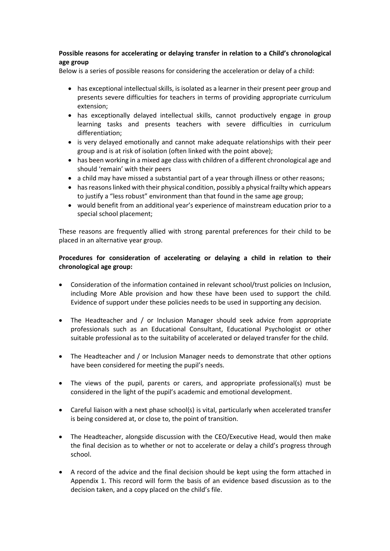# **Possible reasons for accelerating or delaying transfer in relation to a Child's chronological age group**

Below is a series of possible reasons for considering the acceleration or delay of a child:

- has exceptional intellectual skills, is isolated as a learner in their present peer group and presents severe difficulties for teachers in terms of providing appropriate curriculum extension;
- has exceptionally delayed intellectual skills, cannot productively engage in group learning tasks and presents teachers with severe difficulties in curriculum differentiation;
- is very delayed emotionally and cannot make adequate relationships with their peer group and is at risk of isolation (often linked with the point above);
- has been working in a mixed age class with children of a different chronological age and should 'remain' with their peers
- a child may have missed a substantial part of a year through illness or other reasons;
- has reasons linked with their physical condition, possibly a physical frailty which appears to justify a "less robust" environment than that found in the same age group;
- would benefit from an additional year's experience of mainstream education prior to a special school placement;

These reasons are frequently allied with strong parental preferences for their child to be placed in an alternative year group.

## **Procedures for consideration of accelerating or delaying a child in relation to their chronological age group:**

- Consideration of the information contained in relevant school/trust policies on Inclusion, including More Able provision and how these have been used to support the child*.* Evidence of support under these policies needs to be used in supporting any decision.
- The Headteacher and / or Inclusion Manager should seek advice from appropriate professionals such as an Educational Consultant, Educational Psychologist or other suitable professional as to the suitability of accelerated or delayed transfer for the child.
- The Headteacher and / or Inclusion Manager needs to demonstrate that other options have been considered for meeting the pupil's needs.
- The views of the pupil, parents or carers, and appropriate professional(s) must be considered in the light of the pupil's academic and emotional development.
- Careful liaison with a next phase school(s) is vital, particularly when accelerated transfer is being considered at, or close to, the point of transition.
- The Headteacher, alongside discussion with the CEO/Executive Head, would then make the final decision as to whether or not to accelerate or delay a child's progress through school.
- A record of the advice and the final decision should be kept using the form attached in Appendix 1. This record will form the basis of an evidence based discussion as to the decision taken, and a copy placed on the child's file.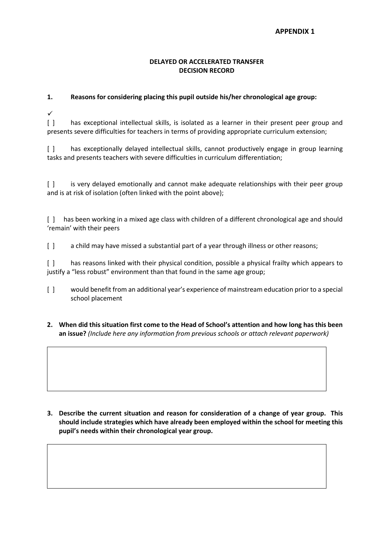#### **APPENDIX 1**

#### **DELAYED OR ACCELERATED TRANSFER DECISION RECORD**

## **1. Reasons for considering placing this pupil outside his/her chronological age group:**

 $\overline{\mathcal{L}}$ 

[ ] has exceptional intellectual skills, is isolated as a learner in their present peer group and presents severe difficulties for teachers in terms of providing appropriate curriculum extension;

[ ] has exceptionally delayed intellectual skills, cannot productively engage in group learning tasks and presents teachers with severe difficulties in curriculum differentiation;

[ ] is very delayed emotionally and cannot make adequate relationships with their peer group and is at risk of isolation (often linked with the point above);

[ ] has been working in a mixed age class with children of a different chronological age and should 'remain' with their peers

[ ] a child may have missed a substantial part of a year through illness or other reasons;

[] has reasons linked with their physical condition, possible a physical frailty which appears to justify a "less robust" environment than that found in the same age group;

- [ ] would benefit from an additional year's experience of mainstream education prior to a special school placement
- **2. When did this situation first come to the Head of School's attention and how long has this been an issue?** *(Include here any information from previous schools or attach relevant paperwork)*

**3. Describe the current situation and reason for consideration of a change of year group. This should include strategies which have already been employed within the school for meeting this pupil's needs within their chronological year group.**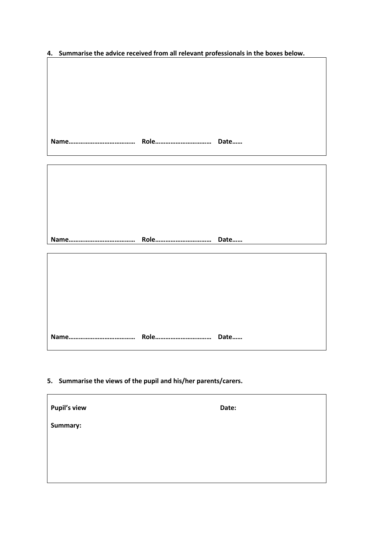**4. Summarise the advice received from all relevant professionals in the boxes below.** 

**Name………………………………… Role…………………………… Date……**

**Name………………………………… Role…………………………… Date……**

**Name………………………………… Role…………………………… Date……**

**5. Summarise the views of the pupil and his/her parents/carers.**

 $\mathbf{r}$ 

| <b>Pupil's view</b> | Date: |
|---------------------|-------|
| Summary:            |       |
|                     |       |
|                     |       |
|                     |       |